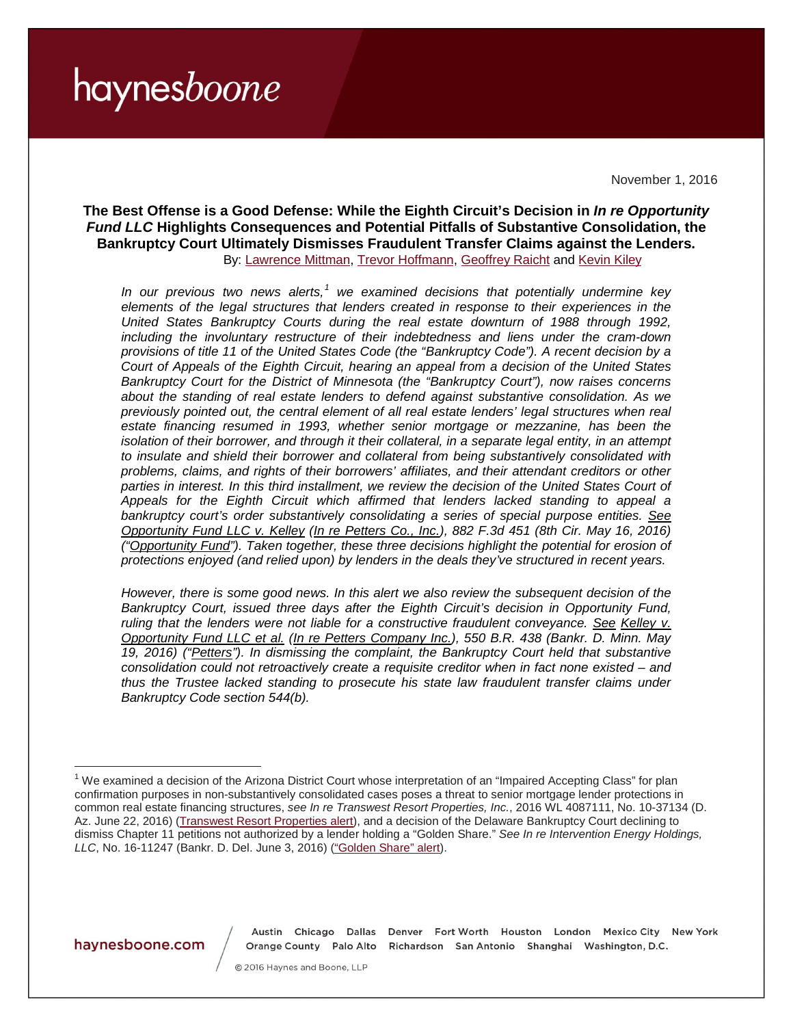November 1, 2016

**The Best Offense is a Good Defense: While the Eighth Circuit's Decision in** *In re Opportunity Fund LLC* **Highlights Consequences and Potential Pitfalls of Substantive Consolidation, the Bankruptcy Court Ultimately Dismisses Fraudulent Transfer Claims against the Lenders.** By: [Lawrence Mittman,](http://www.haynesboone.com/people/m/mittman-lawrence) [Trevor Hoffman](http://www.haynesboone.com/people/h/hoffmann-trevor)n[, Geoffrey Raicht](http://www.haynesboone.com/people/r/raicht-geoffrey) an[d Kevin Kiley](http://www.haynesboone.com/people/k/kiley-kevin)

*In our previous two news alerts,[1](#page-0-0) we examined decisions that potentially undermine key elements of the legal structures that lenders created in response to their experiences in the United States Bankruptcy Courts during the real estate downturn of 1988 through 1992, including the involuntary restructure of their indebtedness and liens under the cram-down provisions of title 11 of the United States Code (the "Bankruptcy Code"). A recent decision by a Court of Appeals of the Eighth Circuit, hearing an appeal from a decision of the United States Bankruptcy Court for the District of Minnesota (the "Bankruptcy Court"), now raises concerns about the standing of real estate lenders to defend against substantive consolidation. As we previously pointed out, the central element of all real estate lenders' legal structures when real estate financing resumed in 1993, whether senior mortgage or mezzanine, has been the*  isolation of their borrower, and through it their collateral, in a separate legal entity, in an attempt *to insulate and shield their borrower and collateral from being substantively consolidated with problems, claims, and rights of their borrowers' affiliates, and their attendant creditors or other*  parties in interest. In this third installment, we review the decision of the United States Court of *Appeals for the Eighth Circuit which affirmed that lenders lacked standing to appeal a bankruptcy court's order substantively consolidating a series of special purpose entities. See Opportunity Fund LLC v. Kelley (In re Petters Co., Inc.), 882 F.3d 451 (8th Cir. May 16, 2016) ("Opportunity Fund"). Taken together, these three decisions highlight the potential for erosion of protections enjoyed (and relied upon) by lenders in the deals they've structured in recent years.*

*However, there is some good news. In this alert we also review the subsequent decision of the Bankruptcy Court, issued three days after the Eighth Circuit's decision in Opportunity Fund, ruling that the lenders were not liable for a constructive fraudulent conveyance. See Kelley v. Opportunity Fund LLC et al. (In re Petters Company Inc.), 550 B.R. 438 (Bankr. D. Minn. May 19, 2016) ("Petters"). In dismissing the complaint, the Bankruptcy Court held that substantive consolidation could not retroactively create a requisite creditor when in fact none existed – and thus the Trustee lacked standing to prosecute his state law fraudulent transfer claims under Bankruptcy Code section 544(b).*

haynesboone.com

Austin Chicago Dallas Denver Fort Worth Houston London Mexico City New York Orange County Palo Alto Richardson San Antonio Shanghai Washington, D.C.

<span id="page-0-0"></span> $1$  We examined a decision of the Arizona District Court whose interpretation of an "Impaired Accepting Class" for plan confirmation purposes in non-substantively consolidated cases poses a threat to senior mortgage lender protections in common real estate financing structures, *see In re Transwest Resort Properties, Inc.*, 2016 WL 4087111, No. 10-37134 (D. Az. June 22, 2016) [\(Transwest Resort](http://www.haynesboone.com/alerts/arizona-district-court-interpretation) Properties alert), and a decision of the Delaware Bankruptcy Court declining to dismiss Chapter 11 petitions not authorized by a lender holding a "Golden Share." *See In re Intervention Energy Holdings, LLC*, No. 16-11247 (Bankr. D. Del. June 3, 2016) [\("Golden Share" alert\)](http://www.haynesboone.com/alerts/dismissal-of-chapter-11-petitions).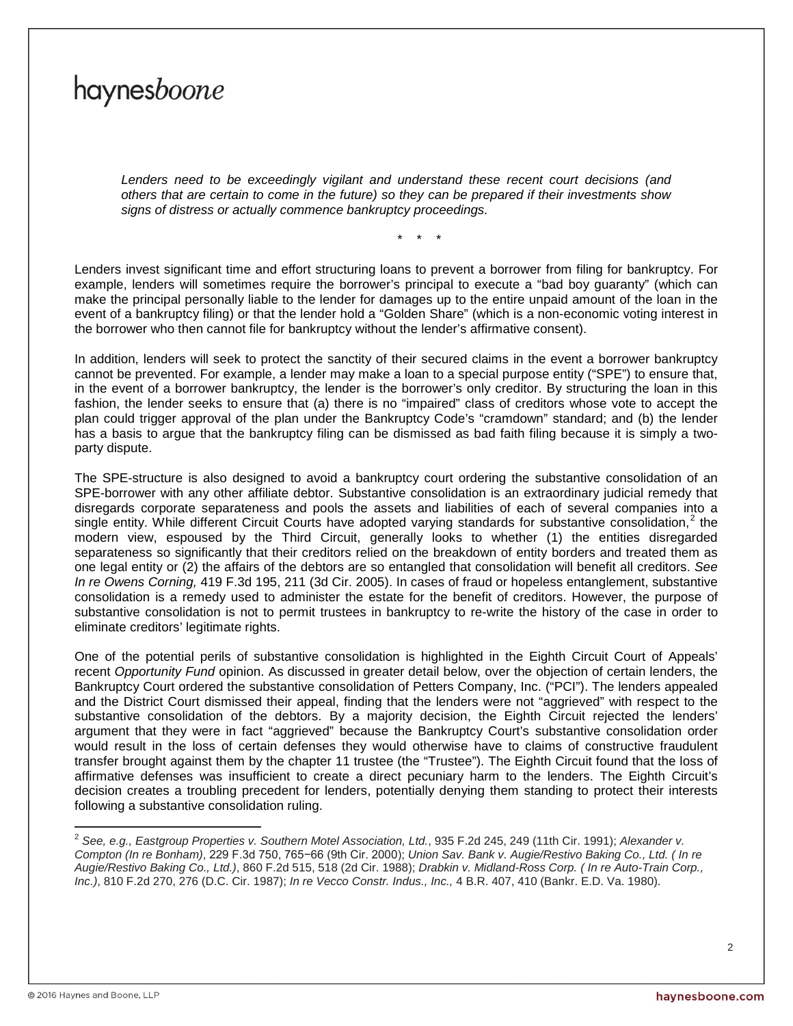*Lenders need to be exceedingly vigilant and understand these recent court decisions (and others that are certain to come in the future) so they can be prepared if their investments show signs of distress or actually commence bankruptcy proceedings.*

\* \* \*

Lenders invest significant time and effort structuring loans to prevent a borrower from filing for bankruptcy. For example, lenders will sometimes require the borrower's principal to execute a "bad boy guaranty" (which can make the principal personally liable to the lender for damages up to the entire unpaid amount of the loan in the event of a bankruptcy filing) or that the lender hold a "Golden Share" (which is a non-economic voting interest in the borrower who then cannot file for bankruptcy without the lender's affirmative consent).

In addition, lenders will seek to protect the sanctity of their secured claims in the event a borrower bankruptcy cannot be prevented. For example, a lender may make a loan to a special purpose entity ("SPE") to ensure that, in the event of a borrower bankruptcy, the lender is the borrower's only creditor. By structuring the loan in this fashion, the lender seeks to ensure that (a) there is no "impaired" class of creditors whose vote to accept the plan could trigger approval of the plan under the Bankruptcy Code's "cramdown" standard; and (b) the lender has a basis to argue that the bankruptcy filing can be dismissed as bad faith filing because it is simply a twoparty dispute.

The SPE-structure is also designed to avoid a bankruptcy court ordering the substantive consolidation of an SPE-borrower with any other affiliate debtor. Substantive consolidation is an extraordinary judicial remedy that disregards corporate separateness and pools the assets and liabilities of each of several companies into a single entity. While different Circuit Courts have adopted varying standards for substantive consolidation,<sup>[2](#page-1-0)</sup> the modern view, espoused by the Third Circuit, generally looks to whether (1) the entities disregarded separateness so significantly that their creditors relied on the breakdown of entity borders and treated them as one legal entity or (2) the affairs of the debtors are so entangled that consolidation will benefit all creditors. *See In re Owens Corning,* 419 F.3d 195, 211 (3d Cir. 2005). In cases of fraud or hopeless entanglement, substantive consolidation is a remedy used to administer the estate for the benefit of creditors. However, the purpose of substantive consolidation is not to permit trustees in bankruptcy to re-write the history of the case in order to eliminate creditors' legitimate rights.

One of the potential perils of substantive consolidation is highlighted in the Eighth Circuit Court of Appeals' recent *Opportunity Fund* opinion. As discussed in greater detail below, over the objection of certain lenders, the Bankruptcy Court ordered the substantive consolidation of Petters Company, Inc. ("PCI"). The lenders appealed and the District Court dismissed their appeal, finding that the lenders were not "aggrieved" with respect to the substantive consolidation of the debtors. By a majority decision, the Eighth Circuit rejected the lenders' argument that they were in fact "aggrieved" because the Bankruptcy Court's substantive consolidation order would result in the loss of certain defenses they would otherwise have to claims of constructive fraudulent transfer brought against them by the chapter 11 trustee (the "Trustee"). The Eighth Circuit found that the loss of affirmative defenses was insufficient to create a direct pecuniary harm to the lenders. The Eighth Circuit's decision creates a troubling precedent for lenders, potentially denying them standing to protect their interests following a substantive consolidation ruling.

<span id="page-1-0"></span><sup>2</sup> *See, e.g., Eastgroup Properties v. Southern Motel Association, Ltd.*, 935 F.2d 245, 249 (11th Cir. 1991); *Alexander v. Compton (In re Bonham)*, 229 F.3d 750, 765−66 (9th Cir. 2000); *Union Sav. Bank v. Augie/Restivo Baking Co., Ltd. ( In re Augie/Restivo Baking Co., Ltd.)*, 860 F.2d 515, 518 (2d Cir. 1988); *Drabkin v. Midland-Ross Corp. ( In re Auto-Train Corp., Inc.)*, 810 F.2d 270, 276 (D.C. Cir. 1987); *In re Vecco Constr. Indus., Inc.,* 4 B.R. 407, 410 (Bankr. E.D. Va. 1980).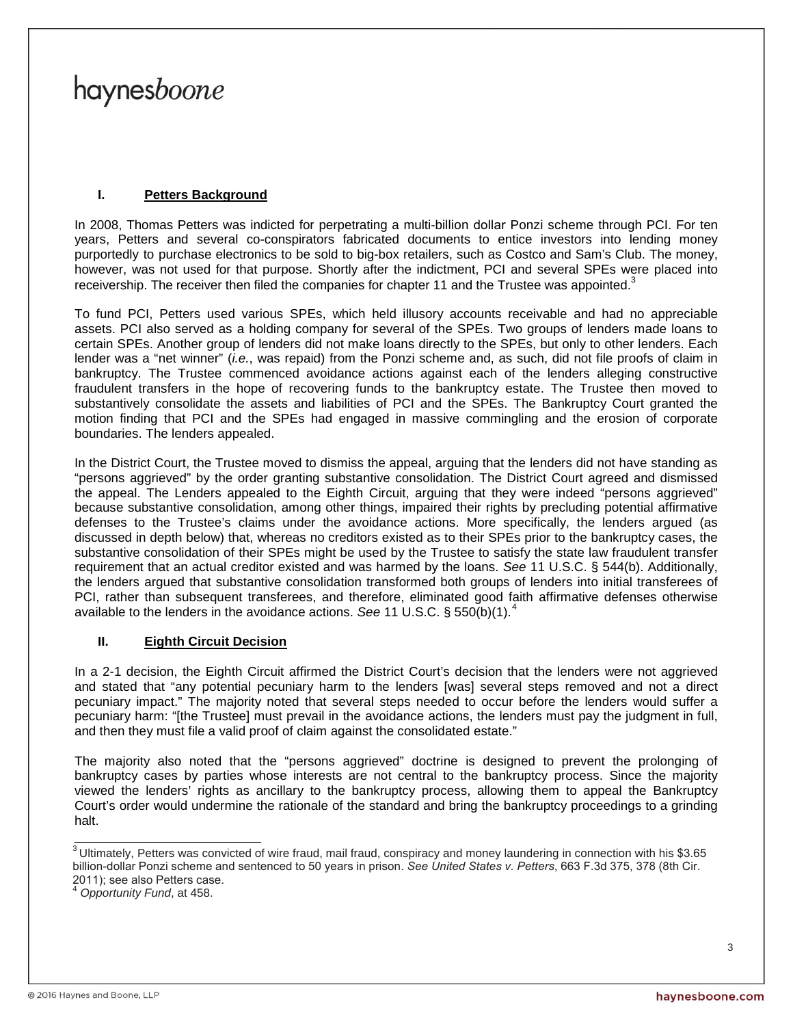#### **I. Petters Background**

In 2008, Thomas Petters was indicted for perpetrating a multi-billion dollar Ponzi scheme through PCI. For ten years, Petters and several co-conspirators fabricated documents to entice investors into lending money purportedly to purchase electronics to be sold to big-box retailers, such as Costco and Sam's Club. The money, however, was not used for that purpose. Shortly after the indictment, PCI and several SPEs were placed into receivership. The receiver then filed the companies for chapter 11 and the Trust[ee](#page-2-0) was appointed. $3$ 

To fund PCI, Petters used various SPEs, which held illusory accounts receivable and had no appreciable assets. PCI also served as a holding company for several of the SPEs. Two groups of lenders made loans to certain SPEs. Another group of lenders did not make loans directly to the SPEs, but only to other lenders. Each lender was a "net winner" (*i.e.*, was repaid) from the Ponzi scheme and, as such, did not file proofs of claim in bankruptcy. The Trustee commenced avoidance actions against each of the lenders alleging constructive fraudulent transfers in the hope of recovering funds to the bankruptcy estate. The Trustee then moved to substantively consolidate the assets and liabilities of PCI and the SPEs. The Bankruptcy Court granted the motion finding that PCI and the SPEs had engaged in massive commingling and the erosion of corporate boundaries. The lenders appealed.

In the District Court, the Trustee moved to dismiss the appeal, arguing that the lenders did not have standing as "persons aggrieved" by the order granting substantive consolidation. The District Court agreed and dismissed the appeal. The Lenders appealed to the Eighth Circuit, arguing that they were indeed "persons aggrieved" because substantive consolidation, among other things, impaired their rights by precluding potential affirmative defenses to the Trustee's claims under the avoidance actions. More specifically, the lenders argued (as discussed in depth below) that, whereas no creditors existed as to their SPEs prior to the bankruptcy cases, the substantive consolidation of their SPEs might be used by the Trustee to satisfy the state law fraudulent transfer requirement that an actual creditor existed and was harmed by the loans. *See* 11 U.S.C. § 544(b). Additionally, the lenders argued that substantive consolidation transformed both groups of lenders into initial transferees of PCI, rather than subsequent transferees, and therefore, eliminated good faith affirmative defenses otherwise available to the lenders in the avoidance actions. *See* 11 U.S.C. § 550(b)(1). [4](#page-2-1)

#### **II. Eighth Circuit Decision**

In a 2-1 decision, the Eighth Circuit affirmed the District Court's decision that the lenders were not aggrieved and stated that "any potential pecuniary harm to the lenders [was] several steps removed and not a direct pecuniary impact." The majority noted that several steps needed to occur before the lenders would suffer a pecuniary harm: "[the Trustee] must prevail in the avoidance actions, the lenders must pay the judgment in full, and then they must file a valid proof of claim against the consolidated estate."

The majority also noted that the "persons aggrieved" doctrine is designed to prevent the prolonging of bankruptcy cases by parties whose interests are not central to the bankruptcy process. Since the majority viewed the lenders' rights as ancillary to the bankruptcy process, allowing them to appeal the Bankruptcy Court's order would undermine the rationale of the standard and bring the bankruptcy proceedings to a grinding halt.

3

<span id="page-2-0"></span> $3$  Ultimately. Petters was convicted of wire fraud, mail fraud, conspiracy and money laundering in connection with his \$3.65 billion-dollar Ponzi scheme and sentenced to 50 years in prison. *See United States v. Petters*, 663 F.3d 375, 378 (8th Cir. 2011); see also Petters [case.](https://www.justice.gov/usao-mn/tom-petters-case-summary) 

<span id="page-2-1"></span><sup>4</sup> *Opportunity Fund*, at 458.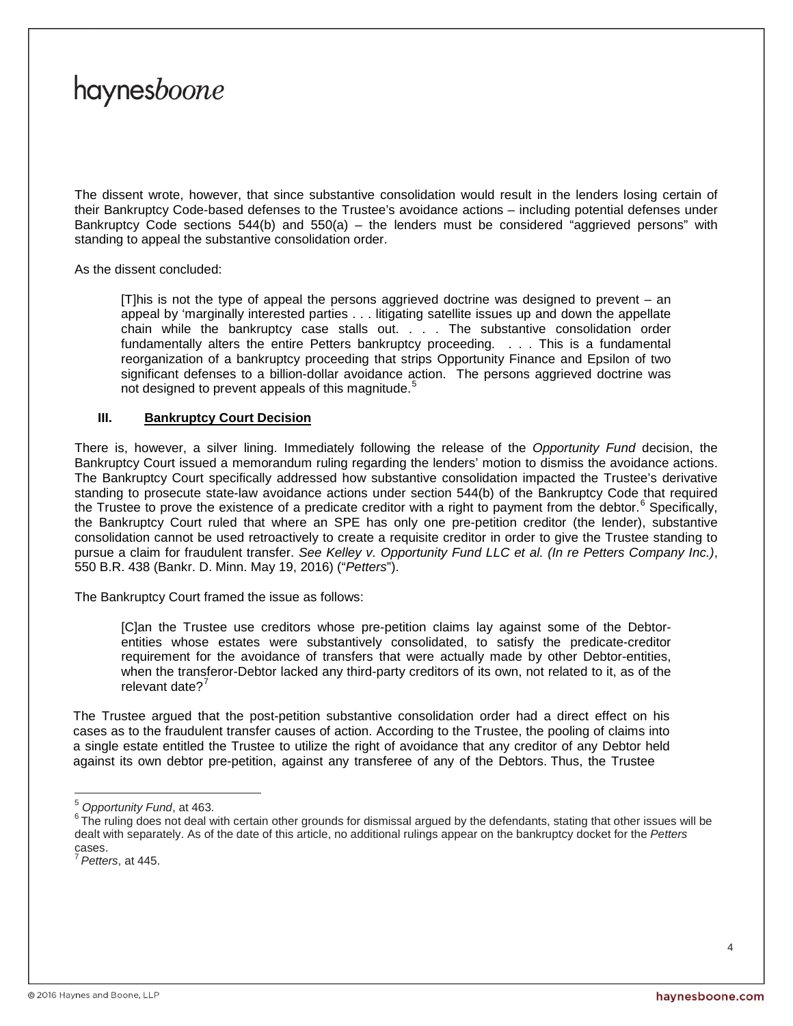The dissent wrote, however, that since substantive consolidation would result in the lenders losing certain of their Bankruptcy Code-based defenses to the Trustee's avoidance actions – including potential defenses under Bankruptcy Code sections  $544(b)$  and  $550(a)$  – the lenders must be considered "aggrieved persons" with standing to appeal the substantive consolidation order.

As the dissent concluded:

[T]his is not the type of appeal the persons aggrieved doctrine was designed to prevent – an appeal by 'marginally interested parties . . . litigating satellite issues up and down the appellate chain while the bankruptcy case stalls out. . . . The substantive consolidation order fundamentally alters the entire Petters bankruptcy proceeding. . . . This is a fundamental reorganization of a bankruptcy proceeding that strips Opportunity Finance and Epsilon of two significant defenses to a billion-dollar avoidance action. The persons aggrieved doctrine was not designed to prevent appeals of this magnitude.<sup>[5](#page-3-0)</sup>

#### **III. Bankruptcy Court Decision**

There is, however, a silver lining. Immediately following the release of the *Opportunity Fund* decision, the Bankruptcy Court issued a memorandum ruling regarding the lenders' motion to dismiss the avoidance actions. The Bankruptcy Court specifically addressed how substantive consolidation impacted the Trustee's derivative standing to prosecute state-law avoidance actions under section 544(b) of the Bankruptcy Code that required the Trustee to prove the existence of a predicate creditor with a right to payment from the debtor.<sup>[6](#page-3-1)</sup> Specifically, the Bankruptcy Court ruled that where an SPE has only one pre-petition creditor (the lender), substantive consolidation cannot be used retroactively to create a requisite creditor in order to give the Trustee standing to pursue a claim for fraudulent transfer. *See Kelley v. Opportunity Fund LLC et al. (In re Petters Company Inc.)*, 550 B.R. 438 (Bankr. D. Minn. May 19, 2016) ("*Petters*").

The Bankruptcy Court framed the issue as follows:

[C]an the Trustee use creditors whose pre-petition claims lay against some of the Debtorentities whose estates were substantively consolidated, to satisfy the predicate-creditor requirement for the avoidance of transfers that were actually made by other Debtor-entities, when the transferor-Debtor lacked any third-party creditors of its own, not related to it, as of the relevant date? $7$ 

The Trustee argued that the post-petition substantive consolidation order had a direct effect on his cases as to the fraudulent transfer causes of action. According to the Trustee, the pooling of claims into a single estate entitled the Trustee to utilize the right of avoidance that any creditor of any Debtor held against its own debtor pre-petition, against any transferee of any of the Debtors. Thus, the Trustee

<span id="page-3-2"></span><span id="page-3-1"></span>Petters, at 445.

<span id="page-3-0"></span><sup>&</sup>lt;sup>5</sup> Opportunity Fund, at 463.<br><sup>6</sup> The ruling does not deal with certain other grounds for dismissal argued by the defendants, stating that other issues will be dealt with separately. As of the date of this article, no additional rulings appear on the bankruptcy docket for the *Petters*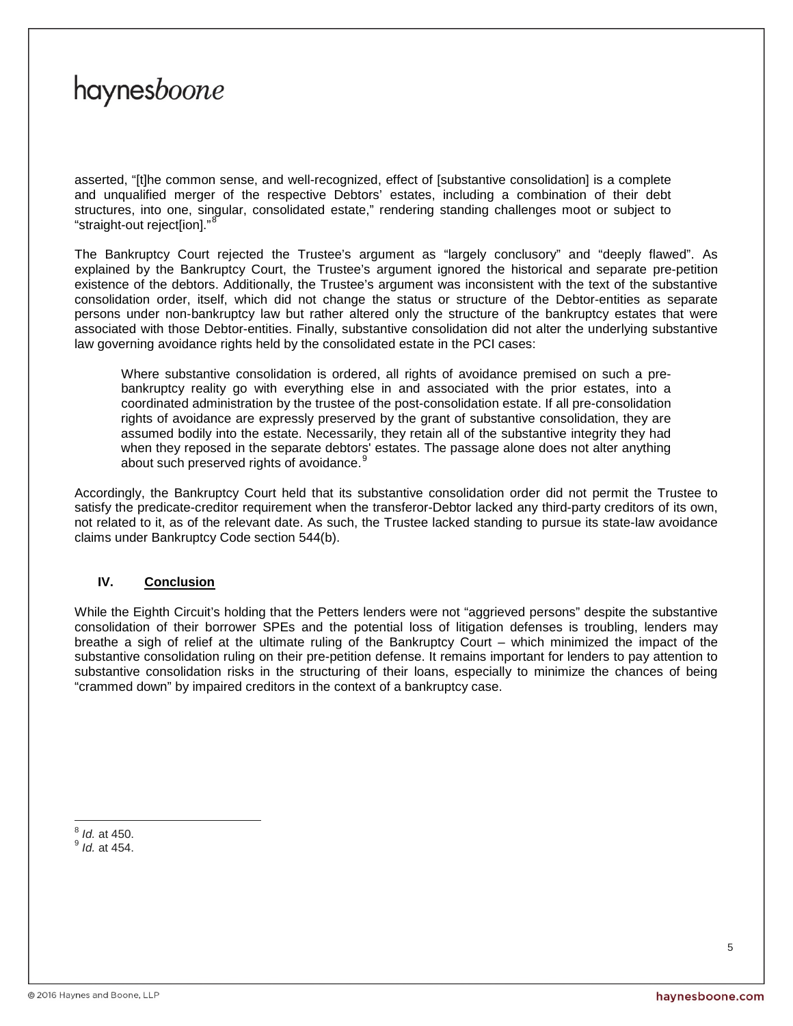asserted, "[t]he common sense, and well-recognized, effect of [substantive consolidation] is a complete and unqualified merger of the respective Debtors' estates, including a combination of their debt structures, into one, singular, consolidated estate," rendering standing challenges moot or subject to "straight-out reject[ion]."<sup>[8](#page-4-0)</sup>

The Bankruptcy Court rejected the Trustee's argument as "largely conclusory" and "deeply flawed". As explained by the Bankruptcy Court, the Trustee's argument ignored the historical and separate pre-petition existence of the debtors. Additionally, the Trustee's argument was inconsistent with the text of the substantive consolidation order, itself, which did not change the status or structure of the Debtor-entities as separate persons under non-bankruptcy law but rather altered only the structure of the bankruptcy estates that were associated with those Debtor-entities. Finally, substantive consolidation did not alter the underlying substantive law governing avoidance rights held by the consolidated estate in the PCI cases:

Where substantive consolidation is ordered, all rights of avoidance premised on such a prebankruptcy reality go with everything else in and associated with the prior estates, into a coordinated administration by the trustee of the post-consolidation estate. If all pre-consolidation rights of avoidance are expressly preserved by the grant of substantive consolidation, they are assumed bodily into the estate. Necessarily, they retain all of the substantive integrity they had when they reposed in the separate debtors' estates. The passage alone does not alter anything about such preserved rights of avoidance.<sup>[9](#page-4-1)</sup>

Accordingly, the Bankruptcy Court held that its substantive consolidation order did not permit the Trustee to satisfy the predicate-creditor requirement when the transferor-Debtor lacked any third-party creditors of its own, not related to it, as of the relevant date. As such, the Trustee lacked standing to pursue its state-law avoidance claims under Bankruptcy Code section 544(b).

#### **IV. Conclusion**

While the Eighth Circuit's holding that the Petters lenders were not "aggrieved persons" despite the substantive consolidation of their borrower SPEs and the potential loss of litigation defenses is troubling, lenders may breathe a sigh of relief at the ultimate ruling of the Bankruptcy Court – which minimized the impact of the substantive consolidation ruling on their pre-petition defense. It remains important for lenders to pay attention to substantive consolidation risks in the structuring of their loans, especially to minimize the chances of being "crammed down" by impaired creditors in the context of a bankruptcy case.

<span id="page-4-0"></span><sup>8</sup> *Id.* at 450. <sup>9</sup> *Id.* at 454.

<span id="page-4-1"></span>